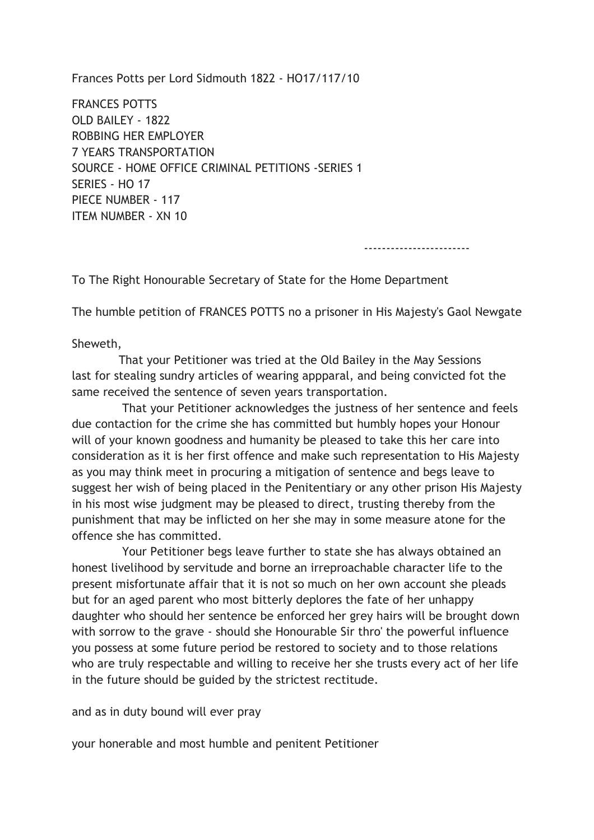Frances Potts per Lord Sidmouth 1822 - HO17/117/10

FRANCES POTTS OLD BAILEY - 1822 ROBBING HER EMPLOYER 7 YEARS TRANSPORTATION SOURCE - HOME OFFICE CRIMINAL PETITIONS -SERIES 1 SERIES - HO 17 PIECE NUMBER - 117 ITEM NUMBER - XN 10

------------------------

To The Right Honourable Secretary of State for the Home Department

The humble petition of FRANCES POTTS no a prisoner in His Majesty's Gaol Newgate

Sheweth,

 That your Petitioner was tried at the Old Bailey in the May Sessions last for stealing sundry articles of wearing appparal, and being convicted fot the same received the sentence of seven years transportation.

 That your Petitioner acknowledges the justness of her sentence and feels due contaction for the crime she has committed but humbly hopes your Honour will of your known goodness and humanity be pleased to take this her care into consideration as it is her first offence and make such representation to His Majesty as you may think meet in procuring a mitigation of sentence and begs leave to suggest her wish of being placed in the Penitentiary or any other prison His Majesty in his most wise judgment may be pleased to direct, trusting thereby from the punishment that may be inflicted on her she may in some measure atone for the offence she has committed.

 Your Petitioner begs leave further to state she has always obtained an honest livelihood by servitude and borne an irreproachable character life to the present misfortunate affair that it is not so much on her own account she pleads but for an aged parent who most bitterly deplores the fate of her unhappy daughter who should her sentence be enforced her grey hairs will be brought down with sorrow to the grave - should she Honourable Sir thro' the powerful influence you possess at some future period be restored to society and to those relations who are truly respectable and willing to receive her she trusts every act of her life in the future should be guided by the strictest rectitude.

and as in duty bound will ever pray

your honerable and most humble and penitent Petitioner